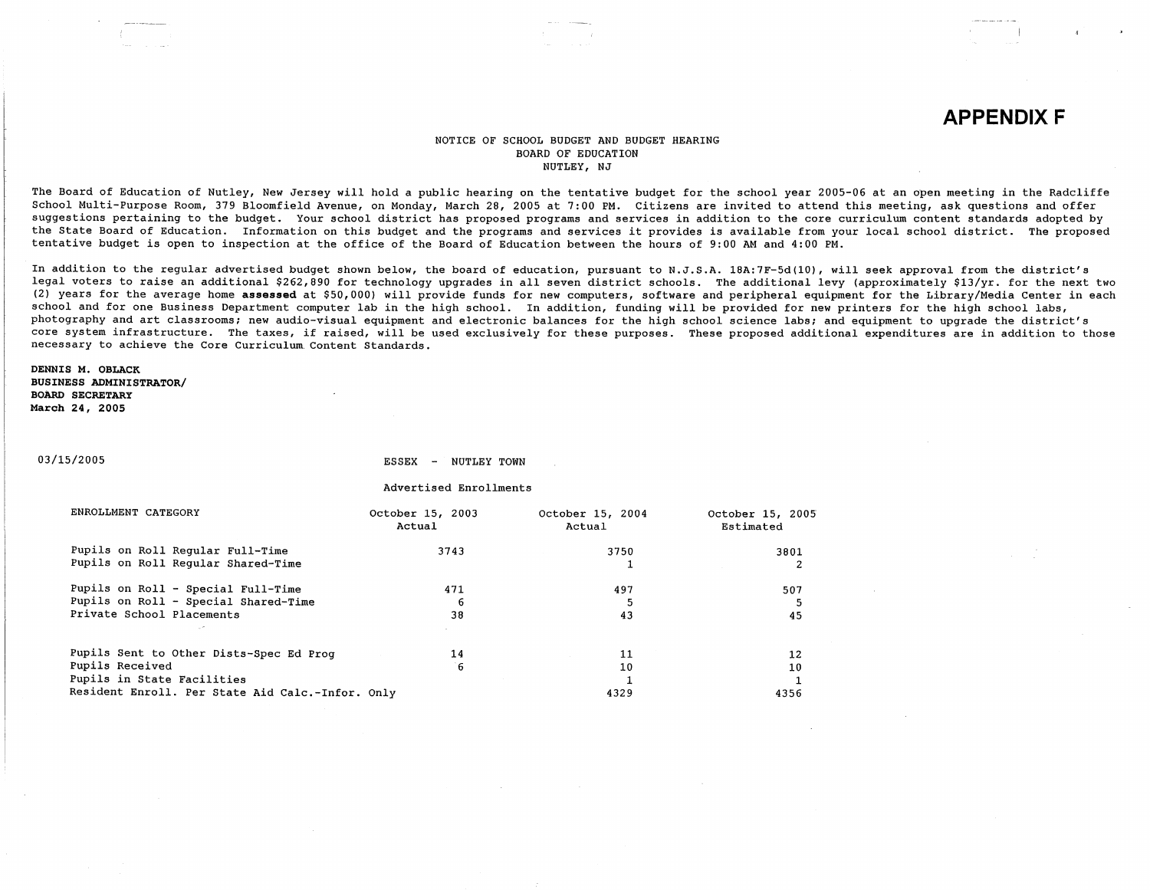# **APPENDIX F**

#### NOTICE OF SCHOOL BUDGET AND BUDGET HEARING BOARD OF EDUCATION NUTLEY, NJ

The Board of Education of Nutley, New Jersey will hold a public hearing on the tentative budget for the school year 2005-06 at an *open* meeting in the Radcliffe School Multi-Purpose Room, 379 Bloomfield Avenue, on Monday, March 28, 2005 at 7:00 PM. Citizens are invited to attend this meeting, ask questions and offer suggestions pertaining to the budget. Your school district has proposed programs and services in addition to the core curriculum content standards adopted by the State Board of Education. Information on this budget and the programs and services it provides is available from your local school district. The proposed tentative budget is open to inspection at the office of the Board of Education between the hours of 9:00 AM and 4:00 PM.

In addition to the regular advertised budget shown below, the board of education, pursuant to N.J.S.A. 18A:7F-5d(l0), will seek approval from the district's legal voters to raise an additional \$262,890 for technology upgrades in all seven district schools. The additional levy (approximately \$13/yr. for the next two (2) years for the average home **assessed** at \$50,000) will provide funds for new computers, software and peripheral equipment for the Library/Media Center in each school and for one Business Department computer lab in the high school. In addition, funding will be provided for new printers for the high school labs, photography and art classrooms; new audio-visual equipment and electronic balances for the high school science labs; and equipment to upgrade the district's core system infrastructure. The taxes, if raised, will be used exclusively for these purposes. These proposed additional expenditures are in addition to those necessary to achieve the Core Curriculum. Content Standards.

**DENNIS M. OBLACK BUSINESS ADMINISTRATOR/ BOARD SECRETARY March 24, 2005** 

03/15/2005

ESSEX - NUTLEY TOWN

Advertised Enrollments

| ENROLLMENT CATEGORY                              | October 15, 2003<br>Actual | October 15, 2004<br>Actual | October 15, 2005<br>Estimated |
|--------------------------------------------------|----------------------------|----------------------------|-------------------------------|
| Pupils on Roll Regular Full-Time                 | 3743                       | 3750                       | 3801                          |
| Pupils on Roll Regular Shared-Time               |                            |                            | 2                             |
| Pupils on Roll - Special Full-Time               | 471                        | 497                        | 507                           |
| Pupils on Roll - Special Shared-Time             | 6                          |                            |                               |
| Private School Placements                        | 38                         | 43                         | 45                            |
|                                                  |                            |                            |                               |
| Pupils Sent to Other Dists-Spec Ed Prog          | 14                         | 11                         | 12                            |
| Pupils Received                                  | <sup>-`6</sup>             | 10                         | 10                            |
| Pupils in State Facilities                       |                            |                            |                               |
| Resident Enroll. Per State Aid Calc.-Infor. Only |                            | 4329                       | 4356                          |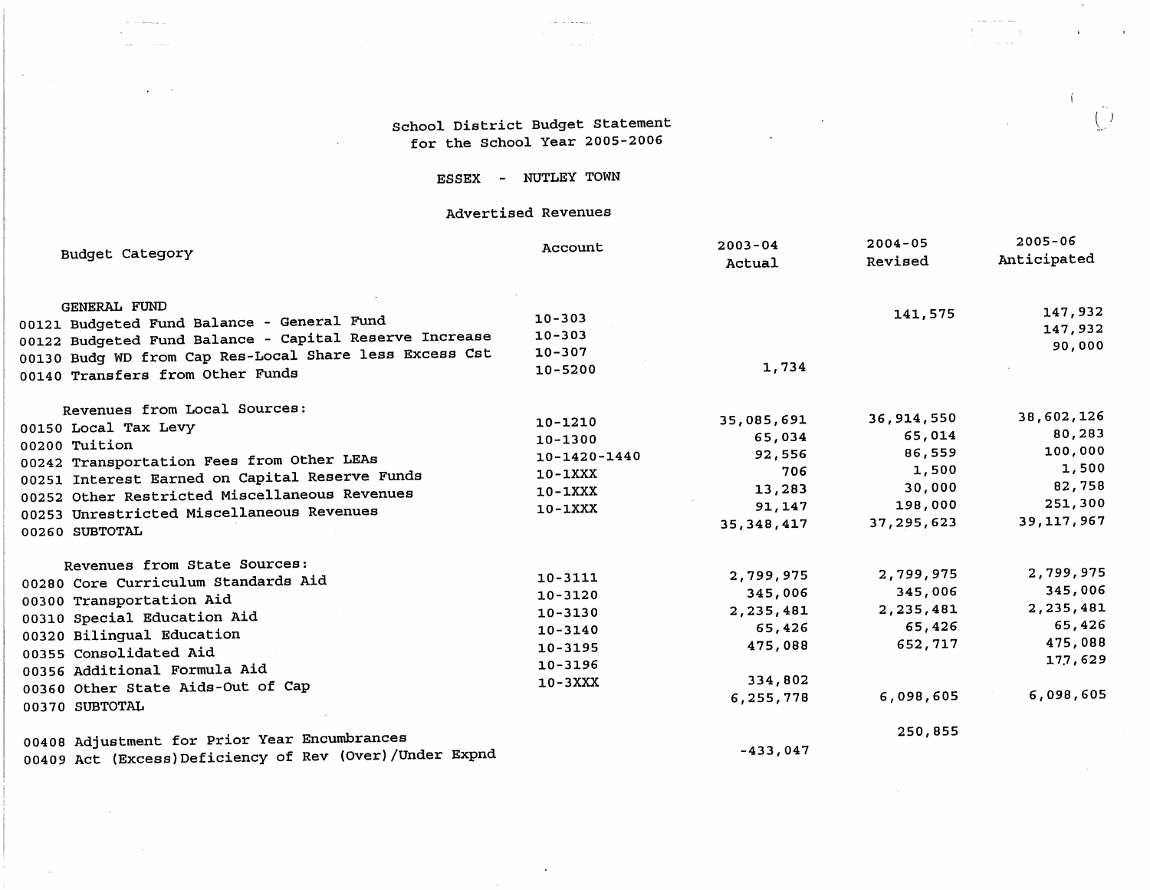# School District Budget Statement for the School Year 2005-2006

and completely

**Contractor** 

 $\sim$ 

 $\sim$ 

 $\mathcal{L}^{\text{max}}_{\text{max}}$ 

 $\bullet$  ,  $\bullet$  ,  $\bullet$ 

 $\mathcal{L}$ 

 $\sim 10^7$ 

 $\left( -\right)$ 

 $\overline{1}$ 

 $\mathbf{r}$ 

 $\left($ 

 $\sim 10^{11}$ 

 $\sim$ 

 $\mathcal{L}_{\text{max}}$  and  $\mathcal{L}_{\text{max}}$ 

 $\sim 100$  km s  $^{-1}$ 

# ESSEX - NUTLEY TOWN

# Advertised Revenues

| Budget Category                                           | Account      | $2003 - 04$<br>Actual | $2004 - 05$<br>Revised | $2005 - 06$<br>Anticipated |
|-----------------------------------------------------------|--------------|-----------------------|------------------------|----------------------------|
| <b>GENERAL FUND</b>                                       |              |                       | 141,575                | 147,932                    |
| 00121 Budgeted Fund Balance - General Fund                | $10 - 303$   |                       |                        | 147,932                    |
| 00122 Budgeted Fund Balance - Capital Reserve Increase    | $10 - 303$   |                       |                        | 90,000                     |
| 00130 Budg WD from Cap Res-Local Share less Excess Cst    | $10 - 307$   | 1,734                 |                        |                            |
| 00140 Transfers from Other Funds                          | 10-5200      |                       |                        |                            |
| Revenues from Local Sources:                              |              |                       |                        | 38,602,126                 |
| 00150 Local Tax Levy                                      | 10-1210      | 35,085,691            | 36,914,550             | 80,283                     |
| 00200 Tuition                                             | 10-1300      | 65,034                | 65,014                 | 100,000                    |
| 00242 Transportation Fees from Other LEAs                 | 10-1420-1440 | 92,556                | 86,559                 | 1,500                      |
| 00251 Interest Earned on Capital Reserve Funds            | $10-1XXX$    | 706                   | 1,500                  | 82,758                     |
| 00252 Other Restricted Miscellaneous Revenues             | $10-1XXX$    | 13,283                | 30,000                 | 251,300                    |
| 00253 Unrestricted Miscellaneous Revenues                 | $10 - 1XXX$  | 91,147                | 198,000                | 39,117,967                 |
| 00260 SUBTOTAL                                            |              | 35, 348, 417          | 37, 295, 623           |                            |
| Revenues from State Sources:                              |              |                       |                        | 2,799,975                  |
| 00280 Core Curriculum Standards Aid                       | $10 - 3111$  | 2,799,975             | 2,799,975              | 345,006                    |
| 00300 Transportation Aid                                  | $10 - 3120$  | 345,006               | 345,006                |                            |
| 00310 Special Education Aid                               | $10 - 3130$  | 2,235,481             | 2,235,481              | 2,235,481                  |
| 00320 Bilingual Education                                 | $10 - 3140$  | 65,426                | 65,426                 | 65,426                     |
| 00355 Consolidated Aid                                    | 10-3195      | 475,088               | 652,717                | 475,088                    |
| 00356 Additional Formula Aid                              | 10-3196      |                       |                        | 177,629                    |
| 00360 Other State Aids-Out of Cap                         | $10-3XXX$    | 334,802               |                        |                            |
| 00370 SUBTOTAL                                            |              | 6,255,778             | 6,098,605              | 6,098,605                  |
| 00408 Adjustment for Prior Year Encumbrances              |              |                       | 250,855                |                            |
| 00409 Act (Excess) Deficiency of Rev (Over) / Under Expnd |              | $-433,047$            |                        |                            |

 $\sim$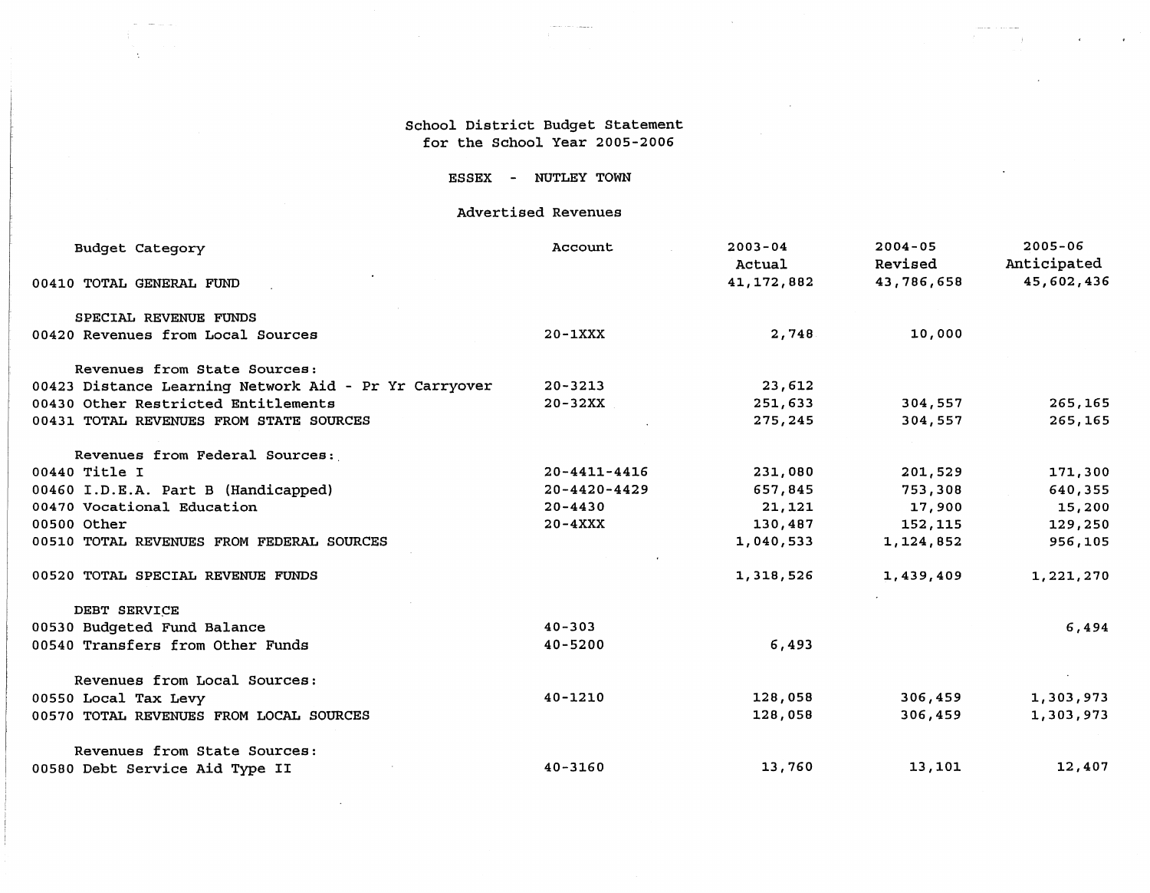### School District Budget Statement for the School Year 2005-2006

 $\sim$ 

 $\mathcal{L}(\mathcal{L})$  . The contract  $\mathcal{L}(\mathcal{L})$ 

 $\Delta$ 

 $\sim 10^7$ 

 $\mathcal{A}^{\mathcal{A}}$ 

 $\mathcal{L}^{\pm}$ 

### ESSEX - NUTLEY TOWN

### Advertised Revenues

| <b>Budget Category</b>                                | Account            | $2003 - 04$<br>Actual | $2004 - 05$<br>Revised | $2005 - 06$<br>Anticipated |
|-------------------------------------------------------|--------------------|-----------------------|------------------------|----------------------------|
| 00410 TOTAL GENERAL FUND                              |                    | 41, 172, 882          | 43,786,658             | 45,602,436                 |
| SPECIAL REVENUE FUNDS                                 |                    |                       |                        |                            |
| 00420 Revenues from Local Sources                     | $20 - 1XXX$        | 2,748                 | 10,000                 |                            |
| Revenues from State Sources:                          |                    |                       |                        |                            |
| 00423 Distance Learning Network Aid - Pr Yr Carryover | $20 - 3213$        | 23,612                |                        |                            |
| 00430 Other Restricted Entitlements                   | $20 - 32XX$        | 251,633               | 304,557                | 265,165                    |
| 00431 TOTAL REVENUES FROM STATE SOURCES               |                    | 275,245               | 304,557                | 265,165                    |
| Revenues from Federal Sources:                        |                    |                       |                        |                            |
| 00440 Title I                                         | $20 - 4411 - 4416$ | 231,080               | 201,529                | 171,300                    |
| 00460 I.D.E.A. Part B (Handicapped)                   | $20 - 4420 - 4429$ | 657,845               | 753,308                | 640,355                    |
| 00470 Vocational Education                            | $20 - 4430$        | 21,121                | 17,900                 | 15,200                     |
| 00500 Other                                           | $20 - 4XXX$        | 130,487               | 152,115                | 129,250                    |
| 00510 TOTAL REVENUES FROM FEDERAL SOURCES             |                    | 1,040,533             | 1,124,852              | 956,105                    |
| 00520 TOTAL SPECIAL REVENUE FUNDS                     |                    | 1,318,526             | 1,439,409              | 1,221,270                  |
| DEBT SERVICE                                          |                    |                       |                        |                            |
| 00530 Budgeted Fund Balance                           | $40 - 303$         |                       |                        | 6,494                      |
| 00540 Transfers from Other Funds                      | $40 - 5200$        | 6,493                 |                        |                            |
| Revenues from Local Sources:                          |                    |                       |                        |                            |
| 00550 Local Tax Levy                                  | $40 - 1210$        | 128,058               | 306,459                | 1,303,973                  |
| 00570 TOTAL REVENUES FROM LOCAL SOURCES               |                    | 128,058               | 306,459                | 1,303,973                  |
| Revenues from State Sources:                          |                    |                       |                        |                            |
| 00580 Debt Service Aid Type II                        | $40 - 3160$        | 13,760                | 13,101                 | 12,407                     |

 $\sim 100$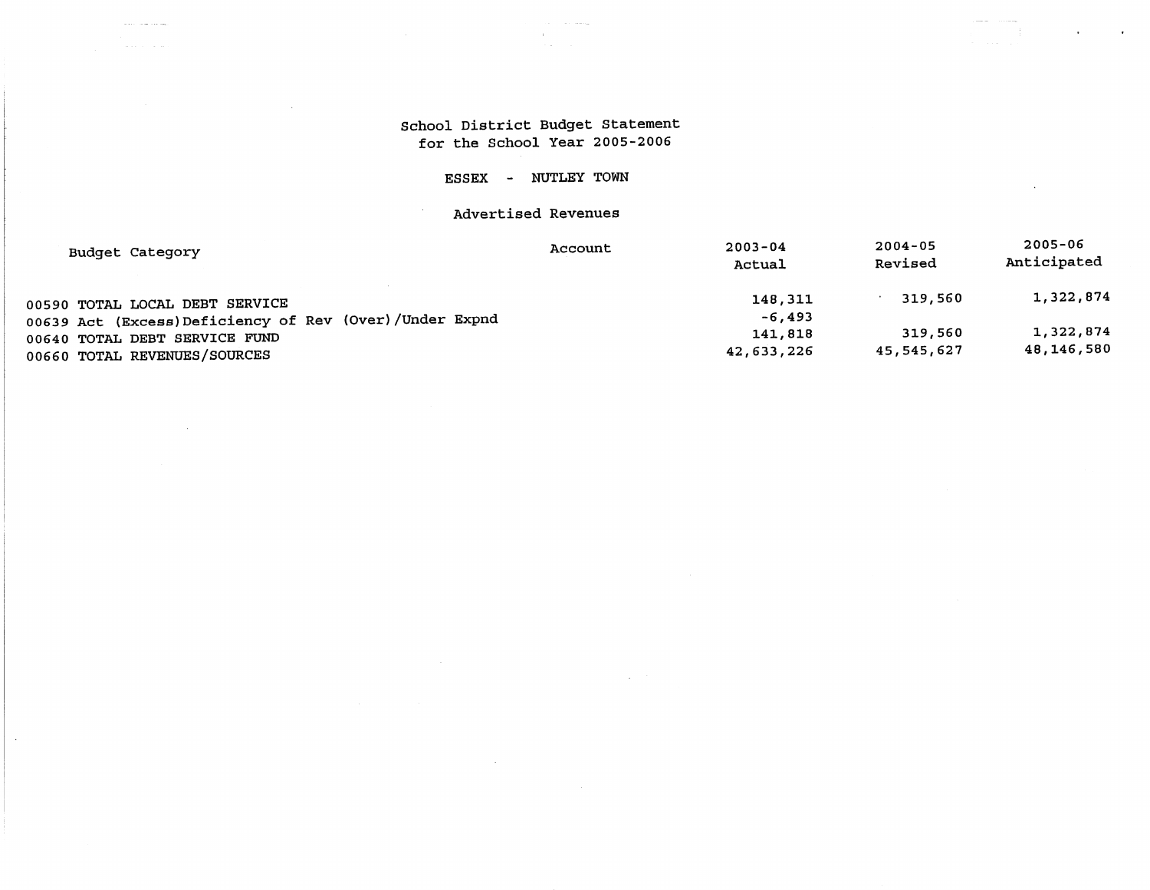# School District Budget Statement for the School Year 2005-2006

 $\alpha$ 

 $\ddot{\phantom{0}}$ 

 $\omega$  and  $\omega$  and  $\omega$  and  $\omega$ 

 $\ddot{\phantom{a}}$ 

# ESSEX - NUTLEY TOWN

# Advertised Revenues

| Budget Category                                        | Account | $2003 - 04$<br>Actual | $2004 - 05$<br>Revised | $2005 - 06$<br>Anticipated |
|--------------------------------------------------------|---------|-----------------------|------------------------|----------------------------|
| 00590 TOTAL LOCAL DEBT SERVICE                         |         | 148,311               | 319,560                | 1,322,874                  |
| 00639 Act (Excess)Deficiency of Rev (Over)/Under Expnd |         | $-6,493$              |                        |                            |
| 00640 TOTAL DEBT SERVICE FUND                          |         | 141,818               | 319,560                | 1,322,874                  |
| 00660 TOTAL REVENUES/SOURCES                           |         | 42,633,226            | 45,545,627             | 48,146,580                 |

 $\sim$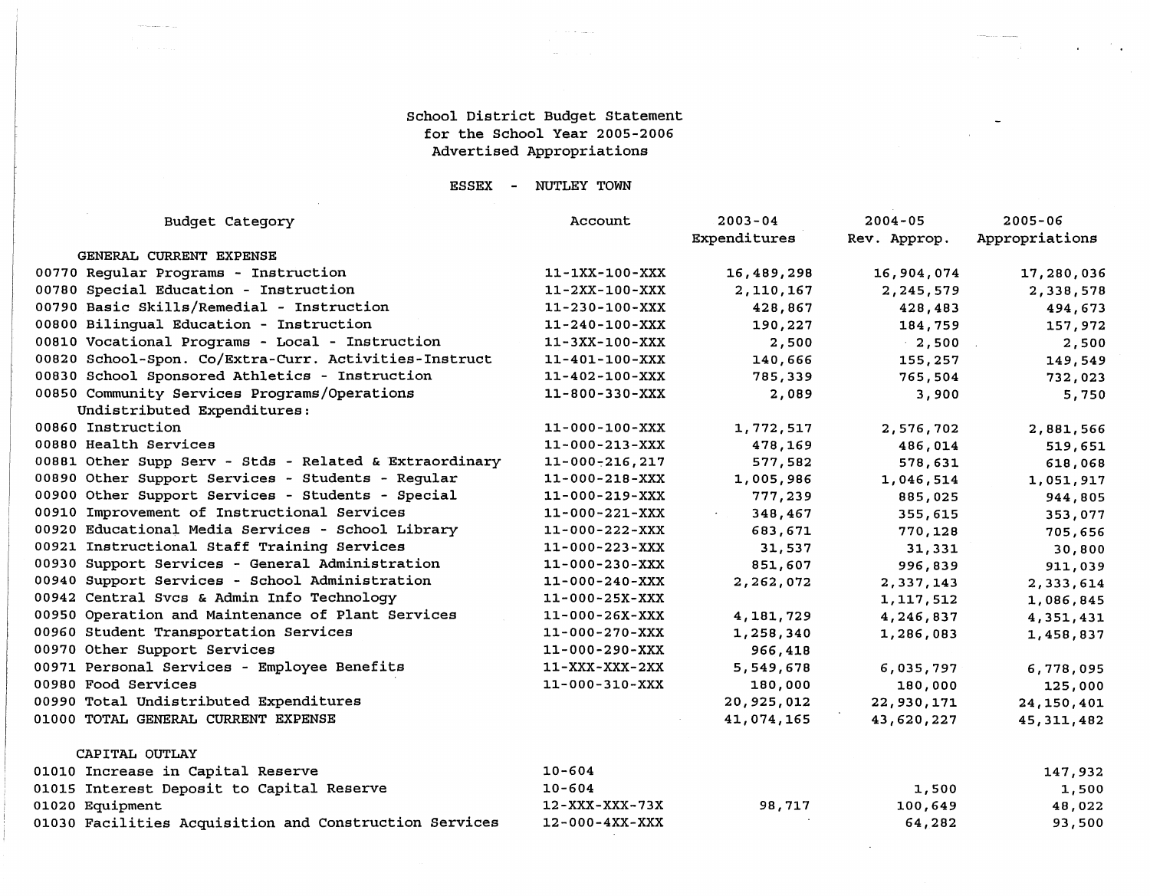### School District Budget Statement for the School Year 2005-2006 Advertised Appropriations

والصادق والمحادث

 $\mathcal{F}_{\mathbf{q},\mathbf{r}}$ 

and the state of the

 $\overline{\phantom{a}}$ 

**Continued for the Continued State** 

### **ESSEX**  NUTLEY TOWN

| <b>Budget Category</b>                                 | Account                | $2003 - 04$<br>Expenditures | $2004 - 05$<br>Rev. Approp. | $2005 - 06$<br>Appropriations |
|--------------------------------------------------------|------------------------|-----------------------------|-----------------------------|-------------------------------|
| GENERAL CURRENT EXPENSE                                |                        |                             |                             |                               |
| 00770 Regular Programs - Instruction                   | 11-1XX-100-XXX         | 16,489,298                  | 16,904,074                  | 17,280,036                    |
| 00780 Special Education - Instruction                  | 11-2XX-100-XXX         | 2,110,167                   | 2,245,579                   | 2,338,578                     |
| 00790 Basic Skills/Remedial - Instruction              | $11 - 230 - 100 - XXX$ | 428,867                     | 428,483                     | 494,673                       |
| 00800 Bilinqual Education - Instruction                | $11 - 240 - 100 - XXX$ | 190,227                     | 184,759                     | 157,972                       |
| 00810 Vocational Programs - Local - Instruction        | $11 - 3XX - 100 - XXX$ | 2,500                       | $-2,500$                    | 2,500                         |
| 00820 School-Spon. Co/Extra-Curr. Activities-Instruct  | 11-401-100-XXX         | 140,666                     | 155,257                     | 149,549                       |
| 00830 School Sponsored Athletics - Instruction         | $11 - 402 - 100 - XXX$ | 785,339                     | 765,504                     | 732,023                       |
| 00850 Community Services Programs/Operations           | 11-800-330-XXX         | 2,089                       | 3,900                       | 5,750                         |
| Undistributed Expenditures:                            |                        |                             |                             |                               |
| 00860 Instruction                                      | $11 - 000 - 100 - XXX$ | 1,772,517                   | 2,576,702                   | 2,881,566                     |
| 00880 Health Services                                  | $11 - 000 - 213 - XXX$ | 478,169                     | 486,014                     | 519,651                       |
| 00881 Other Supp Serv - Stds - Related & Extraordinary | $11 - 000 - 216, 217$  | 577,582                     | 578,631                     | 618,068                       |
| 00890 Other Support Services - Students - Regular      | $11 - 000 - 218 - XXX$ | 1,005,986                   | 1,046,514                   | 1,051,917                     |
| 00900 Other Support Services - Students - Special      | $11 - 000 - 219 - XXX$ | 777,239                     | 885,025                     | 944,805                       |
| 00910 Improvement of Instructional Services            | $11 - 000 - 221 - XXX$ | 348,467                     | 355,615                     | 353,077                       |
| 00920 Educational Media Services - School Library      | $11 - 000 - 222 - XXX$ | 683,671                     | 770,128                     | 705,656                       |
| 00921 Instructional Staff Training Services            | $11 - 000 - 223 - XXX$ | 31,537                      | 31,331                      | 30,800                        |
| 00930 Support Services - General Administration        | $11 - 000 - 230 - XXX$ | 851,607                     | 996,839                     | 911,039                       |
| 00940 Support Services - School Administration         | $11 - 000 - 240 - XXX$ | 2,262,072                   | 2,337,143                   | 2,333,614                     |
| 00942 Central Svcs & Admin Info Technology             | $11 - 000 - 25X - XXX$ |                             | 1,117,512                   | 1,086,845                     |
| 00950 Operation and Maintenance of Plant Services      | $11 - 000 - 26X - XXX$ | 4,181,729                   | 4,246,837                   | 4,351,431                     |
| 00960 Student Transportation Services                  | $11 - 000 - 270 - XXX$ | 1,258,340                   | 1,286,083                   | 1,458,837                     |
| 00970 Other Support Services                           | $11 - 000 - 290 - XXX$ | 966,418                     |                             |                               |
| 00971 Personal Services - Employee Benefits            | $11 - XXX - XXX - 2XX$ | 5,549,678                   | 6,035,797                   | 6,778,095                     |
| 00980 Food Services                                    | 11-000-310-XXX         | 180,000                     | 180,000                     | 125,000                       |
| 00990 Total Undistributed Expenditures                 |                        | 20,925,012                  | 22,930,171                  | 24, 150, 401                  |
| 01000 TOTAL GENERAL CURRENT EXPENSE                    |                        | 41,074,165                  | 43,620,227                  | 45, 311, 482                  |
| CAPITAL OUTLAY                                         |                        |                             |                             |                               |
| 01010 Increase in Capital Reserve                      | $10 - 604$             |                             |                             | 147,932                       |
| 01015 Interest Deposit to Capital Reserve              | $10 - 604$             |                             | 1,500                       | 1,500                         |

01020 Equipment 12-XXX-XXX-73X 98,717 100,649 48,022 01030 Facilities Acquisition and Construction Services 12-000-4XX-XXX  $\blacksquare$ 64,282 93,500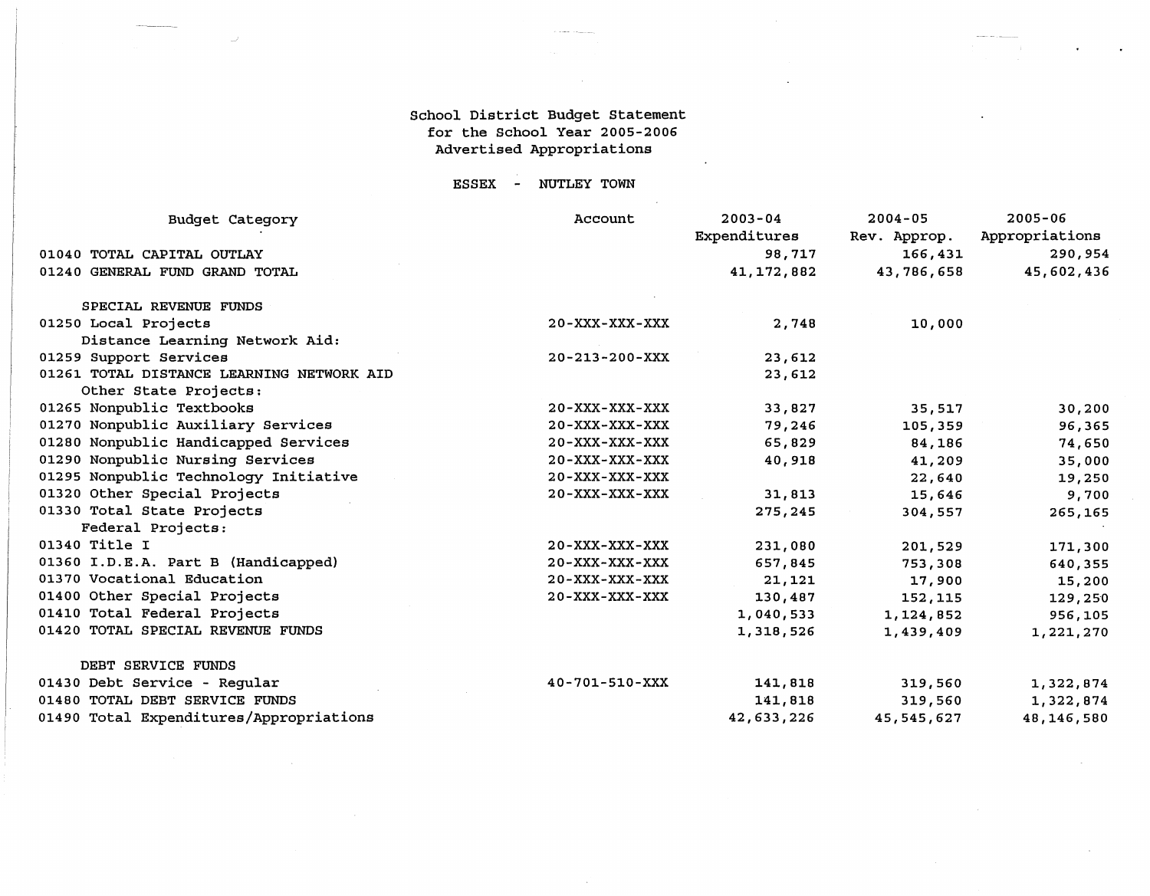### School District Budget Statement for the School Year 2005-2006 Advertised Appropriations

ESSEX - NUTLEY TOWN

| <b>Budget Category</b>                    | Account                | $2003 - 04$  | $2004 - 05$  | $2005 - 06$    |
|-------------------------------------------|------------------------|--------------|--------------|----------------|
|                                           |                        | Expenditures | Rev. Approp. | Appropriations |
| 01040 TOTAL CAPITAL OUTLAY                |                        | 98,717       | 166,431      | 290,954        |
| 01240 GENERAL FUND GRAND TOTAL            |                        | 41, 172, 882 | 43,786,658   | 45,602,436     |
| SPECIAL REVENUE FUNDS                     |                        |              |              |                |
| 01250 Local Projects                      | $20 - XXX - XXX - XXX$ | 2,748        | 10,000       |                |
| Distance Learning Network Aid:            |                        |              |              |                |
| 01259 Support Services                    | $20 - 213 - 200 - XXX$ | 23,612       |              |                |
| 01261 TOTAL DISTANCE LEARNING NETWORK AID |                        | 23,612       |              |                |
| Other State Projects:                     |                        |              |              |                |
| 01265 Nonpublic Textbooks                 | $20 - XXX - XXX - XXX$ | 33,827       | 35,517       | 30,200         |
| 01270 Nonpublic Auxiliary Services        | $20 - XXX - XXX - XXX$ | 79,246       | 105,359      | 96,365         |
| 01280 Nonpublic Handicapped Services      | 20-XXX-XXX-XXX         | 65,829       | 84,186       | 74,650         |
| 01290 Nonpublic Nursing Services          | $20 - XXX - XXX - XXX$ | 40,918       | 41,209       | 35,000         |
| 01295 Nonpublic Technology Initiative     | $20 - XXX - XXX - XXX$ |              | 22,640       | 19,250         |
| 01320 Other Special Projects              | $20 - XXX - XXX - XXX$ | 31,813       | 15,646       | 9,700          |
| 01330 Total State Projects                |                        | 275,245      | 304,557      | 265,165        |
| Federal Projects:                         |                        |              |              |                |
| 01340 Title I                             | $20 - XXX - XXX - XXX$ | 231,080      | 201,529      | 171,300        |
| 01360 I.D.E.A. Part B (Handicapped)       | $20 - XXX - XXX - XXX$ | 657,845      | 753,308      | 640,355        |
| 01370 Vocational Education                | $20 - XXX - XXX - XXX$ | 21,121       | 17,900       | 15,200         |
| 01400 Other Special Projects              | $20 - XXX - XXX - XXX$ | 130,487      | 152,115      | 129,250        |
| 01410 Total Federal Projects              |                        | 1,040,533    | 1,124,852    | 956,105        |
| 01420 TOTAL SPECIAL REVENUE FUNDS         |                        | 1,318,526    | 1,439,409    | 1,221,270      |
| DEBT SERVICE FUNDS                        |                        |              |              |                |
| 01430 Debt Service - Regular              | $40 - 701 - 510 - XXX$ | 141,818      | 319,560      | 1,322,874      |
| 01480 TOTAL DEBT SERVICE FUNDS            |                        | 141,818      | 319,560      | 1,322,874      |
| 01490 Total Expenditures/Appropriations   |                        | 42,633,226   | 45,545,627   | 48,146,580     |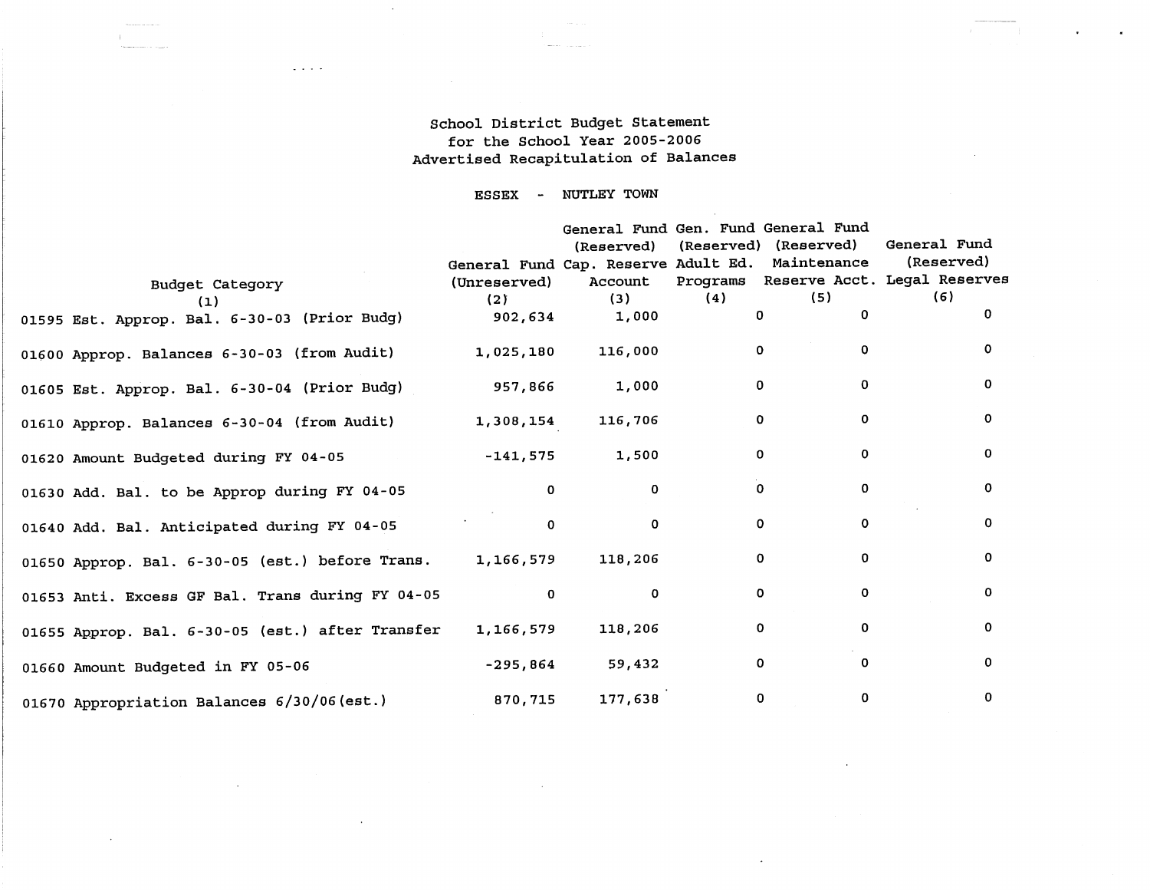### School District Budget Statement for the School Year 2005-2006 Advertised Recapitulation of Balances

 $\mathbf{r}$ 

 $\alpha$ 

 $\sim$ 

 $\mathbf{r}$ 

 $\sim$ 

 $\omega$  ,  $\omega$  ,  $\omega$ 

ESSEX NUTLEY TOWN

|                                                           |                                                 |              |              | General Fund Gen. Fund General Fund |                                       |
|-----------------------------------------------------------|-------------------------------------------------|--------------|--------------|-------------------------------------|---------------------------------------|
|                                                           |                                                 |              |              | (Reserved) (Reserved) (Reserved)    | General Fund                          |
|                                                           | General Fund Cap. Reserve Adult Ed. Maintenance |              |              |                                     | (Reserved)                            |
| Budget Category                                           | (Unreserved)                                    | Account      |              |                                     | Programs Reserve Acct. Legal Reserves |
| (1)                                                       | (2)                                             | (3)          | (4)          | (5)                                 | (6)                                   |
| 01595 Est. Approp. Bal. 6-30-03 (Prior Budg)              | 902,634                                         | 1,000        | $\Omega$     | $\Omega$                            | 0                                     |
| 01600 Approp. Balances 6-30-03 (from Audit)               | 1,025,180                                       | 116,000      | $\Omega$     | $\Omega$                            | 0                                     |
| 01605 Est. Approp. Bal. 6-30-04 (Prior Budg)              | 957,866                                         | 1,000        | $\mathbf{O}$ | $\Omega$                            | 0                                     |
| 01610 Approp. Balances 6-30-04 (from Audit)               | 1,308,154                                       | 116,706      | $\mathbf{O}$ | $\mathbf 0$                         | $\mathbf 0$                           |
| 01620 Amount Budgeted during FY 04-05                     | $-141,575$                                      | 1,500        | 0            | $\Omega$                            | 0                                     |
| 01630 Add. Bal. to be Approp during FY 04-05              | 0                                               | 0            | 0            | $\Omega$                            | 0                                     |
| 01640 Add. Bal. Anticipated during FY 04-05               | $\Omega$                                        | $\Omega$     | 0            | $\Omega$                            | 0                                     |
| 01650 Approp. Bal. 6-30-05 (est.) before Trans. 1,166,579 |                                                 | 118,206      | 0            | $\Omega$                            | 0                                     |
| 01653 Anti. Excess GF Bal. Trans during FY 04-05          | $\mathbf 0$                                     | $\mathbf{o}$ | $\mathbf{o}$ | $\Omega$                            | 0                                     |
| 01655 Approp. Bal. 6-30-05 (est.) after Transfer          | 1,166,579                                       | 118,206      | $\Omega$     | 0                                   | 0                                     |
| 01660 Amount Budgeted in FY 05-06                         | -295,864                                        | 59,432       | $\mathbf{O}$ | 0                                   | 0                                     |
| 01670 Appropriation Balances 6/30/06 (est.)               | 870,715                                         | 177,638      | $\mathbf{0}$ | 0                                   | 0                                     |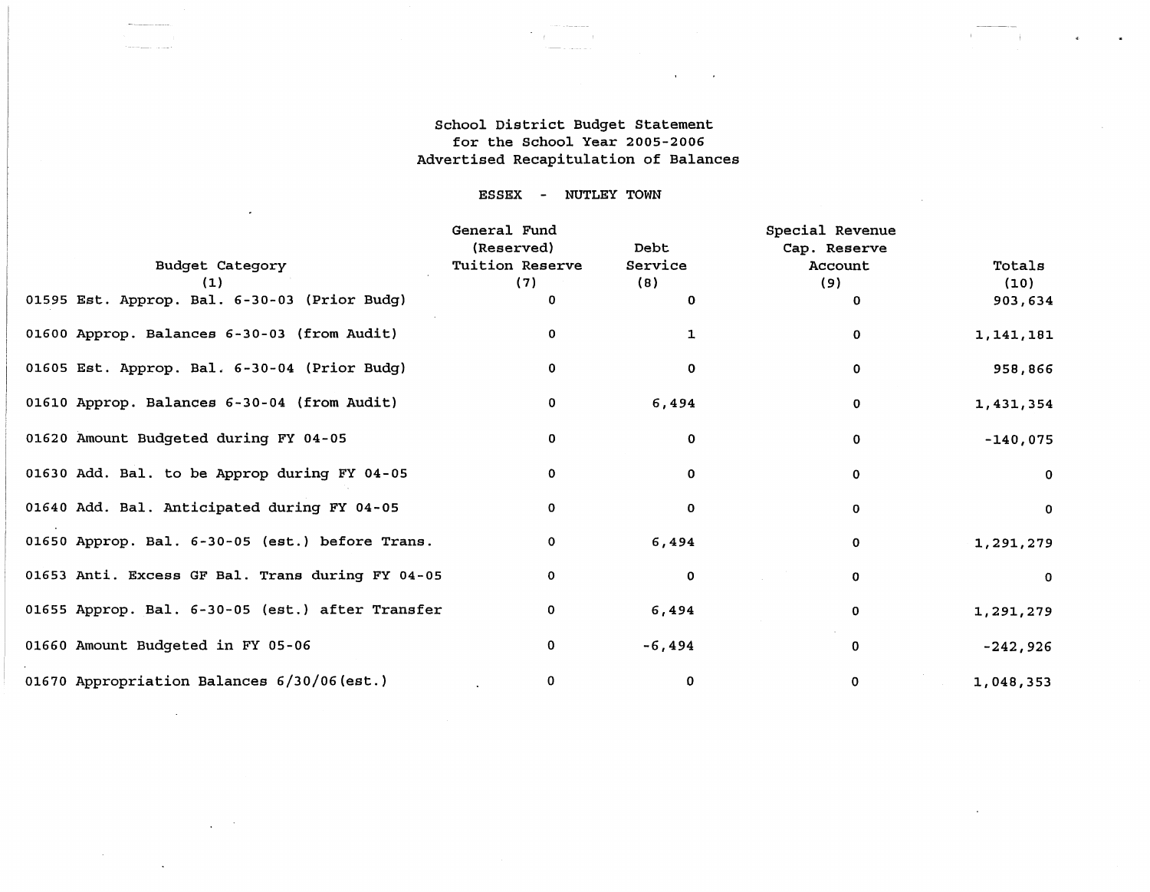### School District Budget Statement for the School Year 2005-2006 Advertised Recapitulation of Balances

 $\mathbf{u}$  .

 $\alpha$ 

 $\mathcal{L}_{\text{eff}}$ 

 $\mathbf{r}$ 

 $\ddot{\phantom{a}}$ 

### ESSEX - NUTLEY TOWN

 $\cdot$ 

 $\Delta \sim 10^6$ 

 $\sim 100$  km s  $^{-1}$ 

 $\ddot{\phantom{a}}$ 

|                                                  | General Fund<br>(Reserved) | Debt        | Special Revenue<br>Cap. Reserve |              |
|--------------------------------------------------|----------------------------|-------------|---------------------------------|--------------|
| <b>Budget Category</b>                           | Tuition Reserve            | Service     | Account                         | Totals       |
| (1)                                              | (7)                        | (8)         | (9)                             | (10)         |
| 01595 Est. Approp. Bal. 6-30-03 (Prior Budg)     |                            | $\Omega$    | 0                               | 903,634      |
| 01600 Approp. Balances 6-30-03 (from Audit)      |                            | 1           | 0                               | 1,141,181    |
| 01605 Est. Approp. Bal. 6-30-04 (Prior Budg)     |                            | 0           | 0                               | 958,866      |
| 01610 Approp. Balances 6-30-04 (from Audit)      |                            | 6,494       | 0                               | 1,431,354    |
| 01620 Amount Budgeted during FY 04-05            | 0                          | $\mathbf 0$ | 0                               | $-140,075$   |
| 01630 Add. Bal. to be Approp during FY 04-05     | 0                          | 0           | 0                               | $\mathbf{0}$ |
| 01640 Add. Bal. Anticipated during FY 04-05      | 0                          | 0           | 0                               | $\mathbf{O}$ |
| 01650 Approp. Bal. 6-30-05 (est.) before Trans.  | 0                          | 6,494       | 0                               | 1,291,279    |
| 01653 Anti. Excess GF Bal. Trans during FY 04-05 | 0                          | 0           | 0                               | $\Omega$     |
| 01655 Approp. Bal. 6-30-05 (est.) after Transfer | 0                          | 6,494       | 0                               | 1,291,279    |
| 01660 Amount Budgeted in FY 05-06                | 0                          | $-6,494$    | 0                               | $-242,926$   |
| 01670 Appropriation Balances 6/30/06(est.)       | 0                          | 0           | 0                               | 1,048,353    |